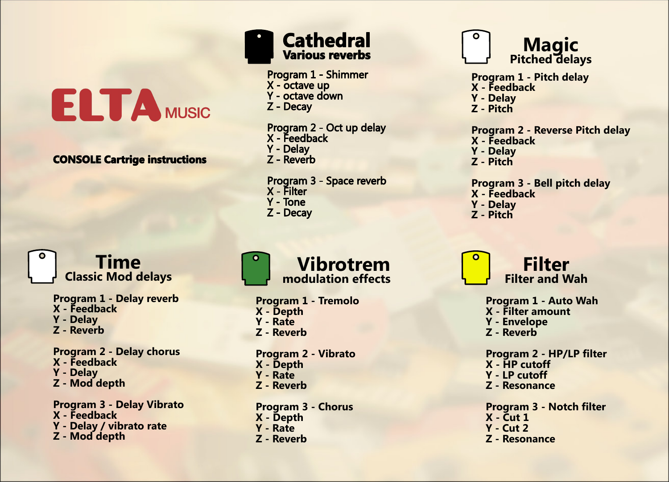# **ELTA MUSIC**

CONSOLE Cartrige instructions

Time Classic Mod delays

> Program 1 - Delay reverb X - Feedback Y - Delay Z - Reverb

Program 2 - Delay chorus X - Feedback Y - Delay Z - Mod depth

Program 3 - Delay Vibrato X - Feedback Y - Delay / vibrato rate Z - Mod depth



Program 1 - Shimmer

X - octave up<br>Y - octave down

- 
- $Z -$ Decay

Program 2 - Oct up delay<br>X - Feedback Y - Delay

Program 3 - Space reverb **X** Filter  $Y - Tone$ Z - Decay

Vibrotrem modulation effects

Program 1 - Tremolo X - Depth Y - Rate Z - Reverb

Program 2 - Vibrato X - Depth Y - Rate Z - Reverb

Program 3 - Chorus X - Depth Y - Rate Z - Reverb



Program 1 - Pitch delay X - Feedback Y - Delay

Z - Pitch

Program 2 - Reverse Pitch delay X - Feedback

- 
- Y Delay

Z - Pitch

#### Program 3 - Bell pitch delay X - Feedback

- Y Delay
- Z Pitch



Program 1 - Auto Wah X - Filter amount Y - Envelope Z - Reverb Program 2 - HP/LP filter

- X HP cutoff Y - LP cutoff
- Z Resonance

Program 3 - Notch filter X - Cut 1 Y - Cut 2 Z - Resonance